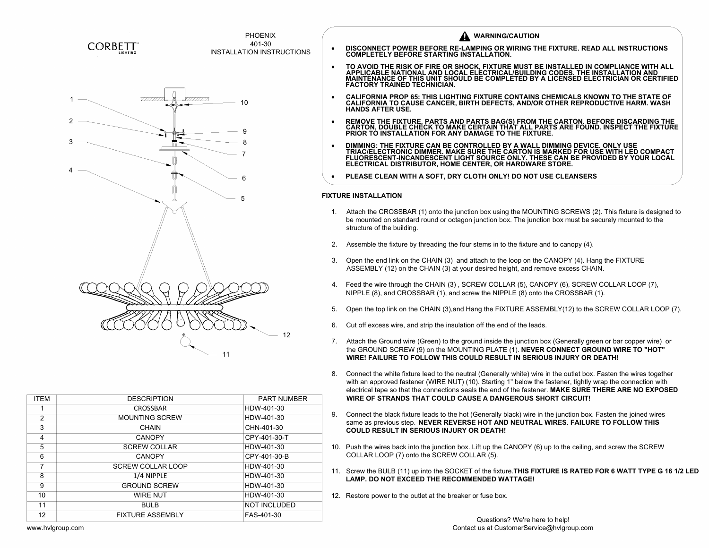

| <b>ITEM</b>    | <b>DESCRIPTION</b>       | <b>PART NUMBER</b>  |
|----------------|--------------------------|---------------------|
|                | <b>CROSSBAR</b>          | HDW-401-30          |
| $\overline{2}$ | <b>MOUNTING SCREW</b>    | HDW-401-30          |
| 3              | <b>CHAIN</b>             | CHN-401-30          |
| 4              | <b>CANOPY</b>            | CPY-401-30-T        |
| 5              | <b>SCREW COLLAR</b>      | HDW-401-30          |
| 6              | <b>CANOPY</b>            | CPY-401-30-B        |
| $\overline{7}$ | <b>SCREW COLLAR LOOP</b> | HDW-401-30          |
| 8              | 1/4 NIPPLE               | HDW-401-30          |
| 9              | <b>GROUND SCREW</b>      | HDW-401-30          |
| 10             | <b>WIRE NUT</b>          | HDW-401-30          |
| 11             | <b>BULB</b>              | <b>NOT INCLUDED</b> |
| 12             | <b>FIXTURE ASSEMBLY</b>  | FAS-401-30          |

- 
- 
- 
- 
- REMOVE THE FIXTURE, PARTS AND PARTS BAG(S) FROM THE CARTON. BEFORE DISCARDING THE CARTON, DOUBLE CHECK TO MAKE CERTAIN THAT ALL PARTS ARE FOUND. INSPECT THE FIXTURE<br>PRIOR TO INSTALLATION FOR ANY DAMAGE TO THE FIXTURE.<br>• 1. Attach the CROSSBAR (1) onto the junction box using the MOUNTING SCREWS (2). This fixture is designed to the CROSSBAR (1) onto the junction box using the MOUNTING SCREWS (2). This fixture is designed to Attach the CROSS 2. Assemble the fixture by threading the four stems in to the fixture BET TRIAC/ELECTRONIC DIMMER. MAKE SURE THE CARTON IS MARKED FOR UPLORESCENT-INCANDESCENT LIGHT SOURCE ONLY. THESE CAN BE PROFILECTRICAL DISTRIBUTOR, HOM
	-

- ELECTRICAL DISTRIBUTOR, HOME CENTER, OR HARDWARE STORE.<br>PLEASE CLEAN WITH A SOFT, DRY CLOTH ONLY! DO NOT USE CLEANSERS<br>E INSTALLATION<br>Attach the CROSSBAR (1) onto the junction box using the MOUNTING SCREWS (2). This fixtur Attach the CROSSBAR<br>be mounted on standard<br>structure of the building. 3. Copen the end link on the CHAIN (3) and attach to the loop on the CANOPY (4). Hang the FIXTURE THESE CLEANSERS FOR USE CLEANSERS CLEANSERS CLEANSERS CLEANSERS CLEANSERS CLEANSERS CLEANSERS CLEANSERS CLEANSERS CLEANSERS 4. Feed the wire through the CHAIN (3) , SCREW COLLAR (5), CANOPY (6), SCREW COLLAR LOOP (7),<br>4. Feed the wire through on standard round or octagon junction box. The junction box must be securely mounted to the<br>5. Structur 1. Attach the CROSSBAR (1) onto the junction box using the MOUNTING SCREWS (2). This fixture is designed to<br>be mounted on standard round or octagon junction box. The junction box must be securely mounted to the<br>structure o
	-
	- Assemble the fixture by threading the four stems in to the fixture and to canopy (4).<br>Open the end link on the CHAIN (3) and attach to the loop on the CANOPY (4). Hang<br>ASSEMBLY (12) on the CHAIN (3) at your desired height,
- ASSEMBLY (12) on the CHAIN (3) at your desired height, and remove excess CHAIN.<br>Feed the wire through the CHAIN (3) , SCREW COLLAR (5), CANOPY (6), SCREW C<br>NIPPLE (8), and CROSSBAR (1), and screw the NIPPLE (8) onto the CR 2. Assemble the fixture by threading the four stems in to the fixture and to canopy (4).<br>
3. Open the end link on the CHAIN (3) and attach to the loop on the CANOPY (4). Hang the FIXTURE<br>
ASSEMBLY (12) on the CHAIN (3) at
	-
	-
- Open the top link on the CHAIN (3),and Hang the FIXTURE ASSEMBLY(12) to the SCREW COLLAR LOOF<br>Cut off excess wire, and strip the insulation off the end of the leads.<br>Attach the Ground wire (Green) to the ground inside the 8. Connect the white fixture lead to the neutral (Generally white) wire in the outlet box. Fasten the wire fixture lead to the neutral (Generally white) wire in the wire NEPLE (B) and CROSSBAR (1), and screw the NIPPLE (8) electrical tape so that the connections seals the end of the fastener. MAKE SURE THERE ARE NO EXPOSED<br>etcrical tape so that the Connect term of the connect term of the connect term of the GROUND SCREW (9) on the MOUNTING P
- Connect the white fixture lead to the neutral (Generally white) wire in the outlet box. Fasten the wires together with an approved fastener (WIRE NUT) (10). Starting 1" below the fastener, tightly wrap the connection with 9. Open the top link on the CHAIN (3), and Hang the FIXTURE ASSEMBLY(12) to the SCREW COLLAR LOO<br>
6. Cut off excess wire, and strip the insulation off the end of the leads.<br>
7. Attach the Ground wire (Green) to the ground WIRE! FAILURE TO FOLLOW THIS COULD RESULT IN SERIOUS INJURY OR DEATH!<br>Connect the white fixture lead to the neutral (Generally white) wire in the outlet box. Fasten the wires tog<br>with an approved fastener (WIRE NUT) (10). 1. Attach the Ground wire (Green) to the ground inside the junction box (Generally green or bar copper wire)<br>
the GROUND SCREW (9) on the MOUNTING PLATE (1). **NEVER CONNECT GROUND WIRE TO "HOT"**<br>
WIRE! FAILURE TO FOLLOW TH 8. Connect the white fixture lead to the neutral (Generally white) wire in the outlet box. Fasten the wires together<br>with an approved fastener (WIRE NUT) (10). Starting 1" below the fastener, tightly wrap the connection wi
	- Connect the black fixture leads to the hot (Generally black) wire in the junction box. Fasten the joined wires same as previous step. NEVER REVERSE HOT AND NEUTRAL WIRES. FAILURE TO FOLLOW THIS COULD RESULT IN SERIOUS INJU
	- 10. Push the wires back into the junction box. Lift up the CANOPY (6) up to the ceiling, and screw the SCREW COLLAR (5).
	- 11. Screw the BULB (11) up into the SOCKET of the fixture. **THIS FIXTURE IS RATED FOR 6 WATT TYPE G 16 1/2 LED**<br>**LAMP. DO NOT EXCEED THE RECOMMENDED WATTAGE!**
	-